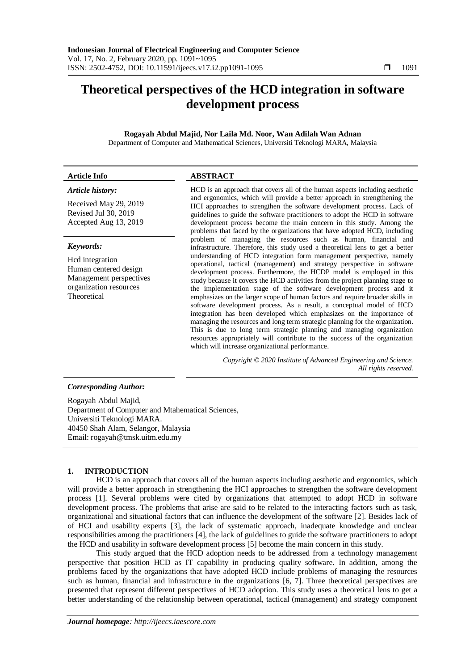# **Theoretical perspectives of the HCD integration in software development process**

# **Rogayah Abdul Majid, Nor Laila Md. Noor, Wan Adilah Wan Adnan**

Department of Computer and Mathematical Sciences, Universiti Teknologi MARA, Malaysia

#### *Article history:*

Received May 29, 2019 Revised Jul 30, 2019 Accepted Aug 13, 2019

#### *Keywords:*

Hcd integration Human centered design Management perspectives organization resources **Theoretical** 

# **Article Info ABSTRACT**

HCD is an approach that covers all of the human aspects including aesthetic and ergonomics, which will provide a better approach in strengthening the HCI approaches to strengthen the software development process. Lack of guidelines to guide the software practitioners to adopt the HCD in software development process become the main concern in this study. Among the problems that faced by the organizations that have adopted HCD, including problem of managing the resources such as human, financial and infrastructure. Therefore, this study used a theoretical lens to get a better understanding of HCD integration form management perspective, namely operational, tactical (management) and strategy perspective in software development process. Furthermore, the HCDP model is employed in this study because it covers the HCD activities from the project planning stage to the implementation stage of the software development process and it emphasizes on the larger scope of human factors and require broader skills in software development process. As a result, a conceptual model of HCD integration has been developed which emphasizes on the importance of managing the resources and long term strategic planning for the organization. This is due to long term strategic planning and managing organization resources appropriately will contribute to the success of the organization which will increase organizational performance.

> *Copyright © 2020 Institute of Advanced Engineering and Science. All rights reserved.*

# *Corresponding Author:*

Rogayah Abdul Majid, Department of Computer and Mtahematical Sciences, Universiti Teknologi MARA. 40450 Shah Alam, Selangor, Malaysia Email: rogayah@tmsk.uitm.edu.my

# **1. INTRODUCTION**

HCD is an approach that covers all of the human aspects including aesthetic and ergonomics, which will provide a better approach in strengthening the HCI approaches to strengthen the software development process [1]. Several problems were cited by organizations that attempted to adopt HCD in software development process. The problems that arise are said to be related to the interacting factors such as task, organizational and situational factors that can influence the development of the software [2]. Besides lack of of HCI and usability experts [3], the lack of systematic approach, inadequate knowledge and unclear responsibilities among the practitioners [4], the lack of guidelines to guide the software practitioners to adopt the HCD and usability in software development process [5] become the main concern in this study.

This study argued that the HCD adoption needs to be addressed from a technology management perspective that position HCD as IT capability in producing quality software. In addition, among the problems faced by the organizations that have adopted HCD include problems of managing the resources such as human, financial and infrastructure in the organizations [6, 7]. Three theoretical perspectives are presented that represent different perspectives of HCD adoption. This study uses a theoretical lens to get a better understanding of the relationship between operational, tactical (management) and strategy component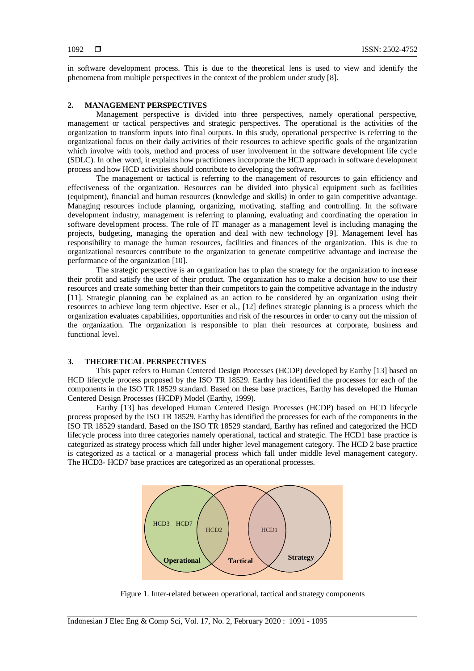in software development process. This is due to the theoretical lens is used to view and identify the phenomena from multiple perspectives in the context of the problem under study [8].

### **2. MANAGEMENT PERSPECTIVES**

Management perspective is divided into three perspectives, namely operational perspective, management or tactical perspectives and strategic perspectives. The operational is the activities of the organization to transform inputs into final outputs. In this study, operational perspective is referring to the organizational focus on their daily activities of their resources to achieve specific goals of the organization which involve with tools, method and process of user involvement in the software development life cycle (SDLC). In other word, it explains how practitioners incorporate the HCD approach in software development process and how HCD activities should contribute to developing the software.

The management or tactical is referring to the management of resources to gain efficiency and effectiveness of the organization. Resources can be divided into physical equipment such as facilities (equipment), financial and human resources (knowledge and skills) in order to gain competitive advantage. Managing resources include planning, organizing, motivating, staffing and controlling. In the software development industry, management is referring to planning, evaluating and coordinating the operation in software development process. The role of IT manager as a management level is including managing the projects, budgeting, managing the operation and deal with new technology [9]. Management level has responsibility to manage the human resources, facilities and finances of the organization. This is due to organizational resources contribute to the organization to generate competitive advantage and increase the performance of the organization [10].

The strategic perspective is an organization has to plan the strategy for the organization to increase their profit and satisfy the user of their product. The organization has to make a decision how to use their resources and create something better than their competitors to gain the competitive advantage in the industry [11]. Strategic planning can be explained as an action to be considered by an organization using their resources to achieve long term objective. Eser et al., [12] defines strategic planning is a process which the organization evaluates capabilities, opportunities and risk of the resources in order to carry out the mission of the organization. The organization is responsible to plan their resources at corporate, business and functional level.

#### **3. THEORETICAL PERSPECTIVES**

This paper refers to Human Centered Design Processes (HCDP) developed by Earthy [13] based on HCD lifecycle process proposed by the ISO TR 18529. Earthy has identified the processes for each of the components in the ISO TR 18529 standard. Based on these base practices, Earthy has developed the Human Centered Design Processes (HCDP) Model (Earthy, 1999).

Earthy [13] has developed Human Centered Design Processes (HCDP) based on HCD lifecycle process proposed by the ISO TR 18529. Earthy has identified the processes for each of the components in the ISO TR 18529 standard. Based on the ISO TR 18529 standard, Earthy has refined and categorized the HCD lifecycle process into three categories namely operational, tactical and strategic. The HCD1 base practice is categorized as strategy process which fall under higher level management category. The HCD 2 base practice is categorized as a tactical or a managerial process which fall under middle level management category. The HCD3- HCD7 base practices are categorized as an operational processes.



Figure 1. Inter-related between operational, tactical and strategy components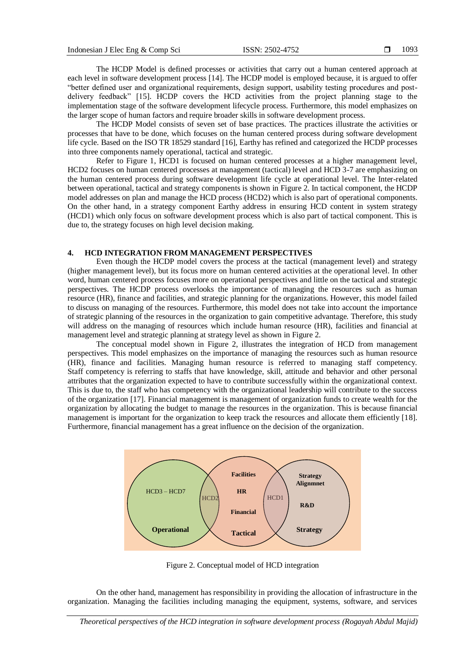The HCDP Model is defined processes or activities that carry out a human centered approach at each level in software development process [14]. The HCDP model is employed because, it is argued to offer "better defined user and organizational requirements, design support, usability testing procedures and postdelivery feedback" [15]. HCDP covers the HCD activities from the project planning stage to the implementation stage of the software development lifecycle process. Furthermore, this model emphasizes on the larger scope of human factors and require broader skills in software development process.

The HCDP Model consists of seven set of base practices. The practices illustrate the activities or processes that have to be done, which focuses on the human centered process during software development life cycle. Based on the ISO TR 18529 standard [16], Earthy has refined and categorized the HCDP processes into three components namely operational, tactical and strategic.

Refer to Figure 1, HCD1 is focused on human centered processes at a higher management level, HCD2 focuses on human centered processes at management (tactical) level and HCD 3-7 are emphasizing on the human centered process during software development life cycle at operational level. The Inter-related between operational, tactical and strategy components is shown in Figure 2. In tactical component, the HCDP model addresses on plan and manage the HCD process (HCD2) which is also part of operational components. On the other hand, in a strategy component Earthy address in ensuring HCD content in system strategy (HCD1) which only focus on software development process which is also part of tactical component. This is due to, the strategy focuses on high level decision making.

#### **4. HCD INTEGRATION FROM MANAGEMENT PERSPECTIVES**

Even though the HCDP model covers the process at the tactical (management level) and strategy (higher management level), but its focus more on human centered activities at the operational level. In other word, human centered process focuses more on operational perspectives and little on the tactical and strategic perspectives. The HCDP process overlooks the importance of managing the resources such as human resource (HR), finance and facilities, and strategic planning for the organizations. However, this model failed to discuss on managing of the resources. Furthermore, this model does not take into account the importance of strategic planning of the resources in the organization to gain competitive advantage. Therefore, this study will address on the managing of resources which include human resource (HR), facilities and financial at management level and strategic planning at strategy level as shown in Figure 2.

The conceptual model shown in Figure 2, illustrates the integration of HCD from management perspectives. This model emphasizes on the importance of managing the resources such as human resource (HR), finance and facilities. Managing human resource is referred to managing staff competency. Staff competency is referring to staffs that have knowledge, skill, attitude and behavior and other personal attributes that the organization expected to have to contribute successfully within the organizational context. This is due to, the staff who has competency with the organizational leadership will contribute to the success of the organization [17]. Financial management is management of organization funds to create wealth for the organization by allocating the budget to manage the resources in the organization. This is because financial management is important for the organization to keep track the resources and allocate them efficiently [18]. Furthermore, financial management has a great influence on the decision of the organization.



Figure 2. Conceptual model of HCD integration

On the other hand, management has responsibility in providing the allocation of infrastructure in the organization. Managing the facilities including managing the equipment, systems, software, and services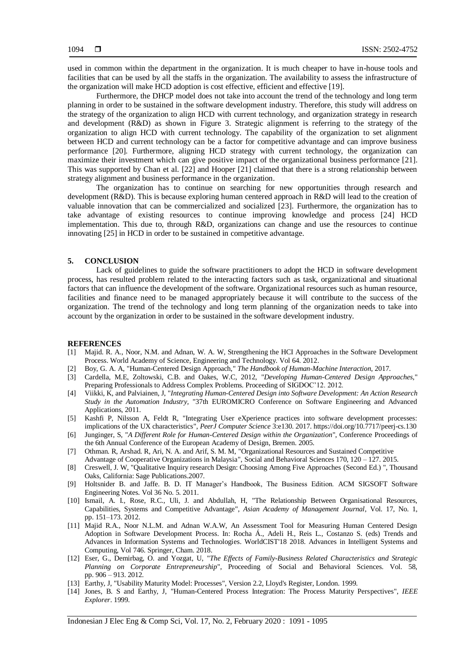used in common within the department in the organization. It is much cheaper to have in-house tools and facilities that can be used by all the staffs in the organization. The availability to assess the infrastructure of the organization will make HCD adoption is cost effective, efficient and effective [19].

Furthermore, the DHCP model does not take into account the trend of the technology and long term planning in order to be sustained in the software development industry. Therefore, this study will address on the strategy of the organization to align HCD with current technology, and organization strategy in research and development (R&D) as shown in Figure 3. Strategic alignment is referring to the strategy of the organization to align HCD with current technology. The capability of the organization to set alignment between HCD and current technology can be a factor for competitive advantage and can improve business performance [20]. Furthermore, aligning HCD strategy with current technology, the organization can maximize their investment which can give positive impact of the organizational business performance [21]. This was supported by Chan et al. [22] and Hooper [21] claimed that there is a strong relationship between strategy alignment and business performance in the organization.

The organization has to continue on searching for new opportunities through research and development (R&D). This is because exploring human centered approach in R&D will lead to the creation of valuable innovation that can be commercialized and socialized [23]. Furthermore, the organization has to take advantage of existing resources to continue improving knowledge and process [24] HCD implementation. This due to, through R&D, organizations can change and use the resources to continue innovating [25] in HCD in order to be sustained in competitive advantage.

#### **5. CONCLUSION**

Lack of guidelines to guide the software practitioners to adopt the HCD in software development process, has resulted problem related to the interacting factors such as task, organizational and situational factors that can influence the development of the software. Organizational resources such as human resource, facilities and finance need to be managed appropriately because it will contribute to the success of the organization. The trend of the technology and long term planning of the organization needs to take into account by the organization in order to be sustained in the software development industry.

#### **REFERENCES**

- [1] Majid. R. A., Noor, N.M. and Adnan, W. A. W, Strengthening the HCI Approaches in the Software Development Process. World Academy of Science, Engineering and Technology. Vol 64. 2012.
- [2] Boy, G. A. A, "Human-Centered Design Approach," *The Handbook of Human-Machine Interaction*, 2017.
- [3] Cardella, M.E, Zoltowski, C.B. and Oakes, W.C, 2012, "*Developing Human-Centered Design Approaches*," Preparing Professionals to Address Complex Problems. Proceeding of SIGDOC"12. 2012.
- [4] Viikki, K, and Palviainen, J, "*Integrating Human-Centered Design into Software Development: An Action Research Study in the Automation Industry,* "37th EUROMICRO Conference on Software Engineering and Advanced Applications, 2011.
- [5] Kashfi P, Nilsson A, Feldt R, "Integrating User eXperience practices into software development processes: implications of the UX characteristics", *PeerJ Computer Science* 3:e130. 2017[. https://doi.org/10.7717/peerj-cs.130](https://doi.org/10.7717/peerj-cs.130)
- [6] Junginger, S, "*A Different Role for Human-Centered Design within the Organization*", Conference Proceedings of the 6th Annual Conference of the European Academy of Design, Bremen. 2005.
- [7] Othman. R, Arshad. R, Ari, N. A. and Arif, S. M. M, "Organizational Resources and Sustained Competitive Advantage of Cooperative Organizations in Malaysia", Social and Behavioral Sciences 170, 120 – 127. 2015.
- [8] Creswell, J. W, "Qualitative Inquiry research Design: Choosing Among Five Approaches (Second Ed.) ", Thousand Oaks, California: Sage Publications.2007.
- [9] Holtsnider B. and Jaffe. B. D. IT Manager"s Handbook, The Business Edition. ACM SIGSOFT Software Engineering Notes. Vol 36 No. 5. 2011.
- [10] Ismail, A. I., Rose, R.C., Uli, J. and Abdullah, H, "The Relationship Between Organisational Resources, Capabilities, Systems and Competitive Advantage", *Asian Academy of Management Journal*, Vol. 17, No. 1, pp. 151–173. 2012.
- [11] Majid R.A., Noor N.L.M. and Adnan W.A.W, An Assessment Tool for Measuring Human Centered Design Adoption in Software Development Process. In: Rocha Á., Adeli H., Reis L., Costanzo S. (eds) Trends and Advances in Information Systems and Technologies. WorldCIST'18 2018. Advances in Intelligent Systems and Computing, Vol 746. Springer, Cham. 2018.
- [12] Eser, G., Demirbag, O. and Yozgat, U, "*The Effects of Family-Business Related Characteristics and Strategic Planning on Corporate Entrepreneurship*", Proceeding of Social and Behavioral Sciences. Vol. 58, pp. 906 – 913. 2012.
- [13] Earthy, J, "Usability Maturity Model: Processes", Version 2.2, Lloyd's Register, London. 1999.
- [14] Jones, B. S and Earthy, J, "Human-Centered Process Integration: The Process Maturity Perspectives", *IEEE Explorer*. 1999.

Indonesian J Elec Eng & Comp Sci, Vol. 17, No. 2, February 2020 : 1091 - 1095